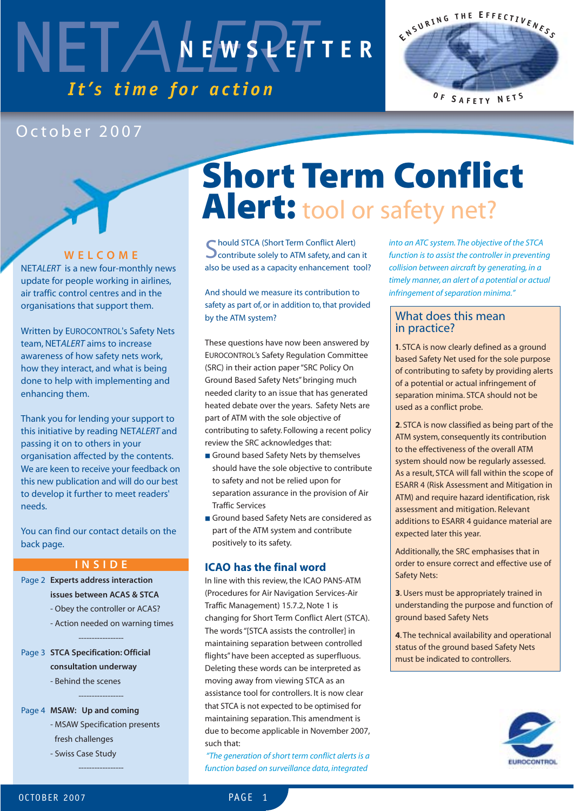### NETALEWSPEF *It's time for action* **NEWSLETTER**



### October 2007

**WELCOME**

NET*ALERT* is a new four-monthly news update for people working in airlines, air traffic control centres and in the organisations that support them.

Written by EUROCONTROL's Safety Nets team, NET*ALERT* aims to increase awareness of how safety nets work, how they interact, and what is being done to help with implementing and enhancing them.

Thank you for lending your support to this initiative by reading NET*ALERT* and passing it on to others in your organisation affected by the contents. We are keen to receive your feedback on this new publication and will do our best to develop it further to meet readers' needs.

You can find our contact details on the back page.

#### **INSIDE**

- Page 2 **Experts address interaction issues between ACAS & STCA** 
	- Obey the controller or ACAS?

-----------------

-----------------

- Action needed on warning times

Page 3 **STCA Specification: Official consultation underway** 

- Behind the scenes

Page 4 **MSAW: Up and coming**

- MSAW Specification presents fresh challenges

- Swiss Case Study
	-

-----------------

### **Short Term Conflict Alert:** tool or safety net?

**C** hould STCA (Short Term Conflict Alert) **O** contribute solely to ATM safety, and can it also be used as a capacity enhancement tool?

And should we measure its contribution to safety as part of, or in addition to, that provided by the ATM system?

These questions have now been answered by EUROCONTROL's Safety Regulation Committee (SRC) in their action paper "SRC Policy On Ground Based Safety Nets" bringing much needed clarity to an issue that has generated heated debate over the years. Safety Nets are part of ATM with the sole objective of contributing to safety. Following a recent policy review the SRC acknowledges that:

- Ground based Safety Nets by themselves should have the sole objective to contribute to safety and not be relied upon for separation assurance in the provision of Air Traffic Services
- Ground based Safety Nets are considered as part of the ATM system and contribute positively to its safety.

### **ICAO has the final word**

In line with this review, the ICAO PANS-ATM (Procedures for Air Navigation Services-Air Traffic Management) 15.7.2, Note 1 is changing for Short Term Conflict Alert (STCA). The words "[STCA assists the controller] in maintaining separation between controlled flights" have been accepted as superfluous. Deleting these words can be interpreted as moving away from viewing STCA as an assistance tool for controllers. It is now clear that STCA is not expected to be optimised for maintaining separation. This amendment is due to become applicable in November 2007, such that:

*"The generation of short term conflict alerts is a function based on surveillance data, integrated*

*into an ATC system. The objective of the STCA function is to assist the controller in preventing collision between aircraft by generating, in a timely manner, an alert of a potential or actual infringement of separation minima."*

### What does this mean in practice?

**1**. STCA is now clearly defined as a ground based Safety Net used for the sole purpose of contributing to safety by providing alerts of a potential or actual infringement of separation minima. STCA should not be used as a conflict probe.

**2**. STCA is now classified as being part of the ATM system, consequently its contribution to the effectiveness of the overall ATM system should now be regularly assessed. As a result, STCA will fall within the scope of ESARR 4 (Risk Assessment and Mitigation in ATM) and require hazard identification, risk assessment and mitigation. Relevant additions to ESARR 4 guidance material are expected later this year.

Additionally, the SRC emphasises that in order to ensure correct and effective use of Safety Nets:

**3**. Users must be appropriately trained in understanding the purpose and function of ground based Safety Nets

**4**. The technical availability and operational status of the ground based Safety Nets must be indicated to controllers.

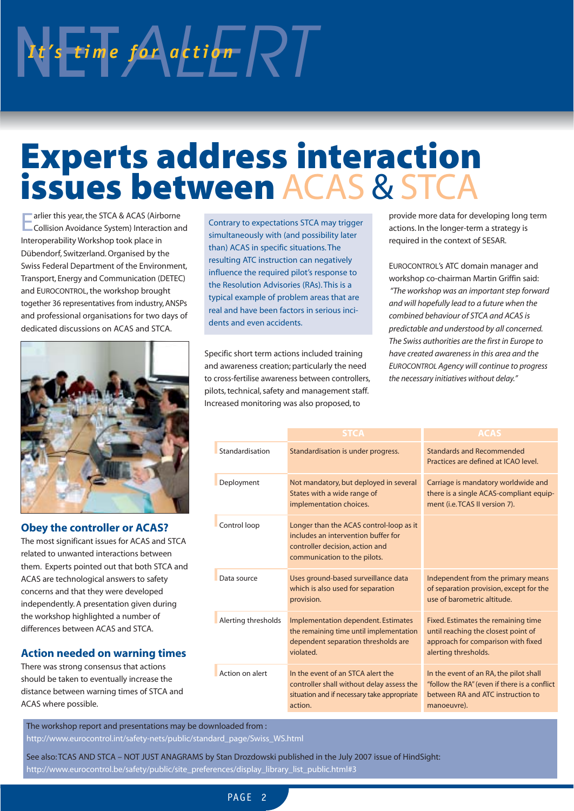# NET<sub>ALERT</sub> *It's* time for action RT

### **Experts address interaction issues between** ACAS & STCA

Earlier this year, the STCA & ACAS (Airborne Collision Avoidance System) Interaction and Interoperability Workshop took place in Dübendorf, Switzerland. Organised by the Swiss Federal Department of the Environment, Transport, Energy and Communication (DETEC) and EUROCONTROL, the workshop brought together 36 representatives from industry, ANSPs and professional organisations for two days of dedicated discussions on ACAS and STCA.



### **Obey the controller or ACAS?**

The most significant issues for ACAS and STCA related to unwanted interactions between them. Experts pointed out that both STCA and ACAS are technological answers to safety concerns and that they were developed independently. A presentation given during the workshop highlighted a number of differences between ACAS and STCA.

### **Action needed on warning times**

There was strong consensus that actions should be taken to eventually increase the distance between warning times of STCA and ACAS where possible.

Contrary to expectations STCA may trigger simultaneously with (and possibility later than) ACAS in specific situations. The resulting ATC instruction can negatively influence the required pilot's response to the Resolution Advisories (RAs). This is a typical example of problem areas that are real and have been factors in serious incidents and even accidents.

Specific short term actions included training and awareness creation; particularly the need to cross-fertilise awareness between controllers, pilots, technical, safety and management staff. Increased monitoring was also proposed, to

provide more data for developing long term actions. In the longer-term a strategy is required in the context of SESAR.

EUROCONTROL's ATC domain manager and workshop co-chairman Martin Griffin said: *"The workshop was an important step forward and will hopefully lead to a future when the combined behaviour of STCA and ACAS is predictable and understood by all concerned. The Swiss authorities are the first in Europe to have created awareness in this area and the EUROCONTROL Agency will continue to progress the necessary initiatives without delay."*

|                     | <b>STCA</b>                                                                                                                                       | <b>ACAS</b>                                                                                                                                |
|---------------------|---------------------------------------------------------------------------------------------------------------------------------------------------|--------------------------------------------------------------------------------------------------------------------------------------------|
| Standardisation     | Standardisation is under progress.                                                                                                                | <b>Standards and Recommended</b><br>Practices are defined at ICAO level.                                                                   |
| Deployment          | Not mandatory, but deployed in several<br>States with a wide range of<br>implementation choices.                                                  | Carriage is mandatory worldwide and<br>there is a single ACAS-compliant equip-<br>ment (i.e. TCAS II version 7).                           |
| Control loop        | Longer than the ACAS control-loop as it<br>includes an intervention buffer for<br>controller decision, action and<br>communication to the pilots. |                                                                                                                                            |
| Data source         | Uses ground-based surveillance data<br>which is also used for separation<br>provision.                                                            | Independent from the primary means<br>of separation provision, except for the<br>use of barometric altitude.                               |
| Alerting thresholds | Implementation dependent. Estimates<br>the remaining time until implementation<br>dependent separation thresholds are<br>violated.                | Fixed. Estimates the remaining time<br>until reaching the closest point of<br>approach for comparison with fixed<br>alerting thresholds.   |
| Action on alert     | In the event of an STCA alert the<br>controller shall without delay assess the<br>situation and if necessary take appropriate<br>action.          | In the event of an RA, the pilot shall<br>"follow the RA" (even if there is a conflict<br>between RA and ATC instruction to<br>manoeuvre). |

The workshop report and presentations may be downloaded from :

http://www.eurocontrol.int/safety-nets/public/standard\_page/Swiss\_WS.html

See also: TCAS AND STCA – NOT JUST ANAGRAMS by Stan Drozdowski published in the July 2007 issue of HindSight: http://www.eurocontrol.be/safety/public/site\_preferences/display\_library\_list\_public.html#3

PAGF<sub>2</sub>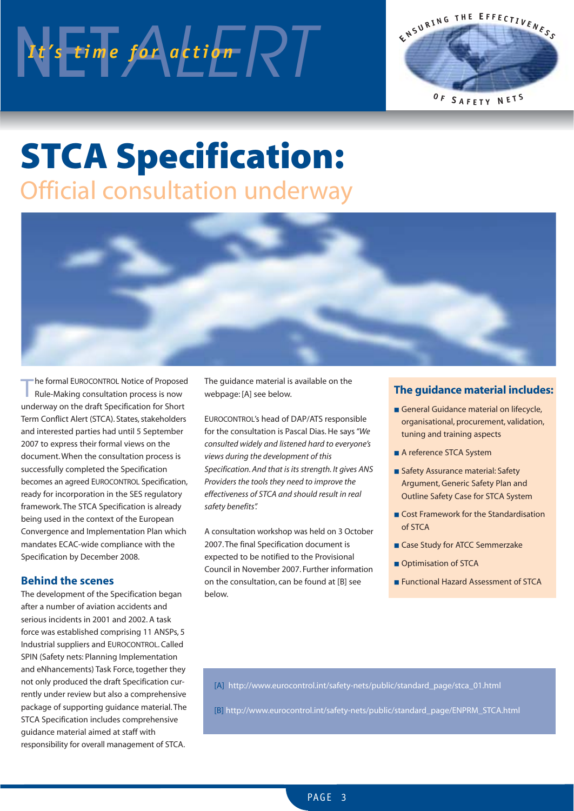# NET<sub>ALERT</sub> *Interpries*



### **STCA Specification:** Official consultation underway



The formal EUROCONTROL Notice of Proposed<br>
Rule-Making consultation process is now underway on the draft Specification for Short Term Conflict Alert (STCA). States, stakeholders and interested parties had until 5 September 2007 to express their formal views on the document. When the consultation process is successfully completed the Specification becomes an agreed EUROCONTROL Specification, ready for incorporation in the SES regulatory framework. The STCA Specification is already being used in the context of the European Convergence and Implementation Plan which mandates ECAC-wide compliance with the Specification by December 2008.

### **Behind the scenes**

The development of the Specification began after a number of aviation accidents and serious incidents in 2001 and 2002. A task force was established comprising 11 ANSPs, 5 Industrial suppliers and EUROCONTROL. Called SPIN (Safety nets: Planning Implementation and eNhancements) Task Force, together they not only produced the draft Specification currently under review but also a comprehensive package of supporting guidance material. The STCA Specification includes comprehensive guidance material aimed at staff with responsibility for overall management of STCA.

The guidance material is available on the webpage: [A] see below.

EUROCONTROL's head of DAP/ATS responsible for the consultation is Pascal Dias. He says*"We consulted widely and listened hard to everyone's views during the development of this Specification. And that is its strength. It gives ANS Providers the tools they need to improve the effectiveness of STCA and should result in real safety benefits".*

A consultation workshop was held on 3 October 2007. The final Specification document is expected to be notified to the Provisional Council in November 2007. Further information on the consultation, can be found at [B] see below.

### **The guidance material includes:**

- General Guidance material on lifecycle, organisational, procurement, validation, tuning and training aspects
- A reference STCA System
- Safety Assurance material: Safety Argument, Generic Safety Plan and Outline Safety Case for STCA System
- Cost Framework for the Standardisation of STCA
- Case Study for ATCC Semmerzake
- Optimisation of STCA
- Functional Hazard Assessment of STCA

[A] http://www.eurocontrol.int/safety-nets/public/standard\_page/stca\_01.html

[B] http://www.eurocontrol.int/safety-nets/public/standard\_page/ENPRM\_STCA.html